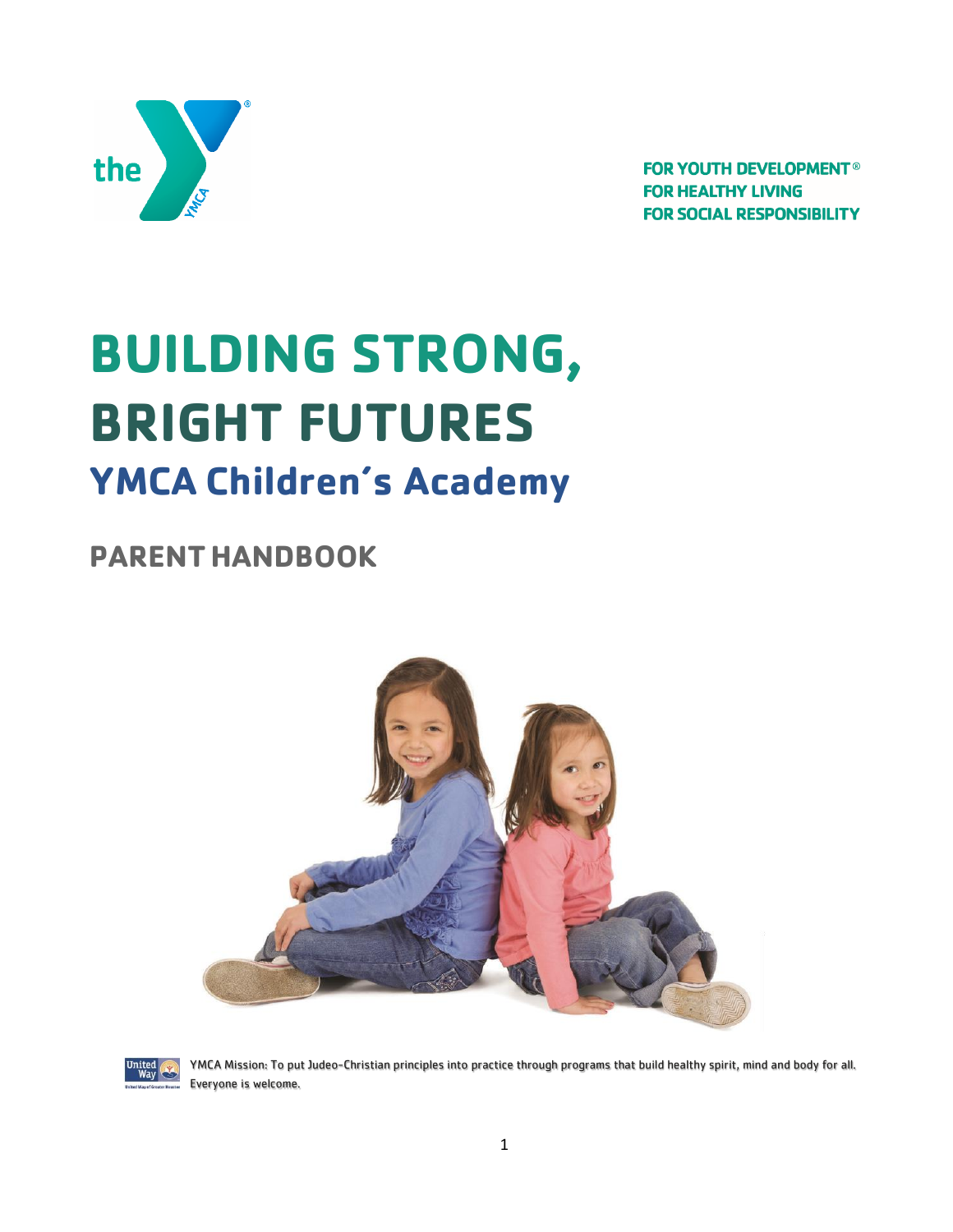

**FOR YOUTH DEVELOPMENT<sup>®</sup> FOR HEALTHY LIVING FOR SOCIAL RESPONSIBILITY** 

# **BUILDING STRONG, BRIGHT FUTURES YMCA Children's Academy**

## **PARENTHANDBOOK**





YMCA Mission: To put Judeo-Christian principles into practice through programs that build healthy spirit, mind and body for all. Everyone is welcome.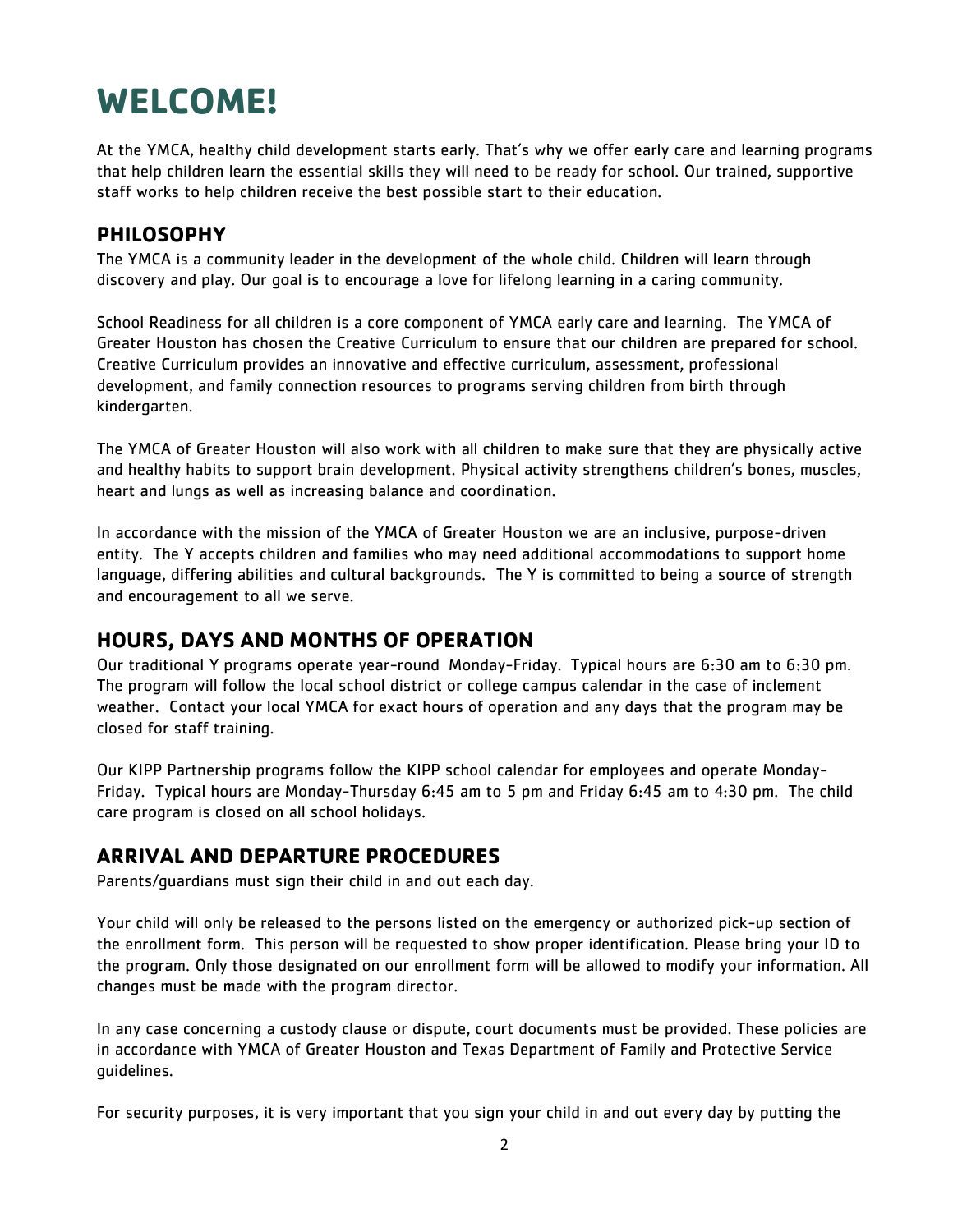## **WELCOME!**

At the YMCA, healthy child development starts early. That's why we offer early care and learning programs that help children learn the essential skills they will need to be ready for school. Our trained, supportive staff works to help children receive the best possible start to their education.

## **PHILOSOPHY**

The YMCA is a community leader in the development of the whole child. Children will learn through discovery and play. Our goal is to encourage a love for lifelong learning in a caring community.

School Readiness for all children is a core component of YMCA early care and learning. The YMCA of Greater Houston has chosen the Creative Curriculum to ensure that our children are prepared for school. Creative Curriculum provides an innovative and effective curriculum, assessment, professional development, and family connection resources to programs serving children from birth through kindergarten.

The YMCA of Greater Houston will also work with all children to make sure that they are physically active and healthy habits to support brain development. Physical activity strengthens children's bones, muscles, heart and lungs as well as increasing balance and coordination.

In accordance with the mission of the YMCA of Greater Houston we are an inclusive, purpose-driven entity. The Y accepts children and families who may need additional accommodations to support home language, differing abilities and cultural backgrounds. The Y is committed to being a source of strength and encouragement to all we serve.

## **HOURS, DAYS AND MONTHS OF OPERATION**

Our traditional Y programs operate year-round Monday-Friday. Typical hours are 6:30 am to 6:30 pm. The program will follow the local school district or college campus calendar in the case of inclement weather. Contact your local YMCA for exact hours of operation and any days that the program may be closed for staff training.

Our KIPP Partnership programs follow the KIPP school calendar for employees and operate Monday-Friday. Typical hours are Monday-Thursday 6:45 am to 5 pm and Friday 6:45 am to 4:30 pm. The child care program is closed on all school holidays.

## **ARRIVAL AND DEPARTURE PROCEDURES**

Parents/guardians must sign their child in and out each day.

Your child will only be released to the persons listed on the emergency or authorized pick-up section of the enrollment form. This person will be requested to show proper identification. Please bring your ID to the program. Only those designated on our enrollment form will be allowed to modify your information. All changes must be made with the program director.

In any case concerning a custody clause or dispute, court documents must be provided. These policies are in accordance with YMCA of Greater Houston and Texas Department of Family and Protective Service guidelines.

For security purposes, it is very important that you sign your child in and out every day by putting the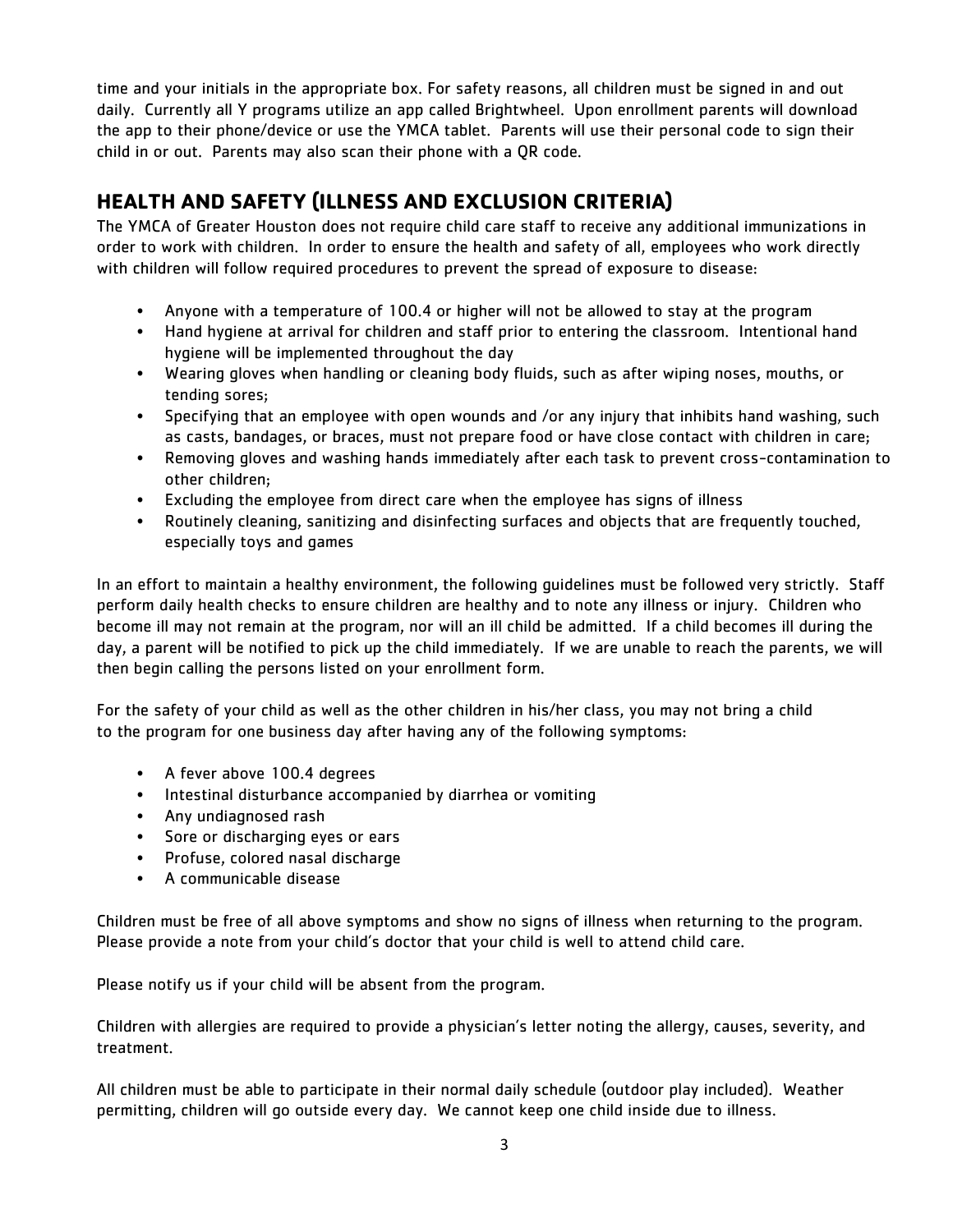time and your initials in the appropriate box. For safety reasons, all children must be signed in and out daily. Currently all Y programs utilize an app called Brightwheel. Upon enrollment parents will download the app to their phone/device or use the YMCA tablet. Parents will use their personal code to sign their child in or out. Parents may also scan their phone with a QR code.

## **HEALTH AND SAFETY (ILLNESS AND EXCLUSION CRITERIA)**

The YMCA of Greater Houston does not require child care staff to receive any additional immunizations in order to work with children. In order to ensure the health and safety of all, employees who work directly with children will follow required procedures to prevent the spread of exposure to disease:

- Anyone with a temperature of 100.4 or higher will not be allowed to stay at the program
- Hand hygiene at arrival for children and staff prior to entering the classroom. Intentional hand hygiene will be implemented throughout the day
- Wearing gloves when handling or cleaning body fluids, such as after wiping noses, mouths, or tending sores;
- Specifying that an employee with open wounds and /or any injury that inhibits hand washing, such as casts, bandages, or braces, must not prepare food or have close contact with children in care;
- Removing gloves and washing hands immediately after each task to prevent cross-contamination to other children;
- Excluding the employee from direct care when the employee has signs of illness
- Routinely cleaning, sanitizing and disinfecting surfaces and objects that are frequently touched, especially toys and games

In an effort to maintain a healthy environment, the following guidelines must be followed very strictly. Staff perform daily health checks to ensure children are healthy and to note any illness or injury. Children who become ill may not remain at the program, nor will an ill child be admitted. If a child becomes ill during the day, a parent will be notified to pick up the child immediately. If we are unable to reach the parents, we will then begin calling the persons listed on your enrollment form.

For the safety of your child as well as the other children in his/her class, you may not bring a child to the program for one business day after having any of the following symptoms:

- A fever above 100.4 degrees
- Intestinal disturbance accompanied by diarrhea or vomiting
- Any undiagnosed rash
- Sore or discharging eyes or ears
- Profuse, colored nasal discharge
- A communicable disease

Children must be free of all above symptoms and show no signs of illness when returning to the program. Please provide a note from your child's doctor that your child is well to attend child care.

Please notify us if your child will be absent from the program.

Children with allergies are required to provide a physician's letter noting the allergy, causes, severity, and treatment.

All children must be able to participate in their normal daily schedule (outdoor play included). Weather permitting, children will go outside every day. We cannot keep one child inside due to illness.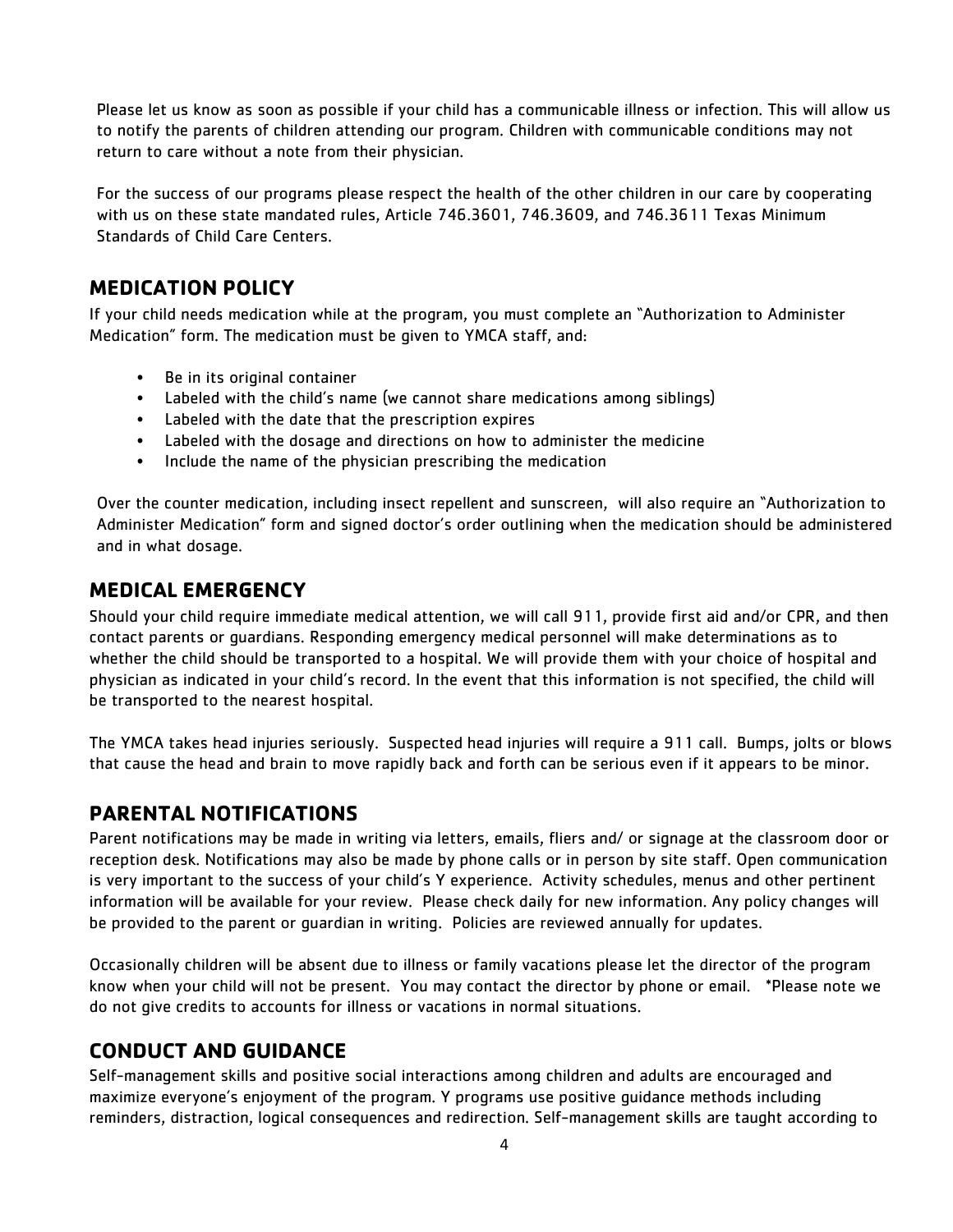Please let us know as soon as possible if your child has a communicable illness or infection. This will allow us to notify the parents of children attending our program. Children with communicable conditions may not return to care without a note from their physician.

For the success of our programs please respect the health of the other children in our care by cooperating with us on these state mandated rules, Article 746.3601, 746.3609, and 746.3611 Texas Minimum Standards of Child Care Centers.

## **MEDICATION POLICY**

If your child needs medication while at the program, you must complete an "Authorization to Administer Medication" form. The medication must be given to YMCA staff, and:

- Be in its original container
- Labeled with the child's name (we cannot share medications among siblings)
- Labeled with the date that the prescription expires
- Labeled with the dosage and directions on how to administer the medicine
- Include the name of the physician prescribing the medication

Over the counter medication, including insect repellent and sunscreen, will also require an "Authorization to Administer Medication" form and signed doctor's order outlining when the medication should be administered and in what dosage.

## **MEDICAL EMERGENCY**

Should your child require immediate medical attention, we will call 911, provide first aid and/or CPR, and then contact parents or guardians. Responding emergency medical personnel will make determinations as to whether the child should be transported to a hospital. We will provide them with your choice of hospital and physician as indicated in your child's record. In the event that this information is not specified, the child will be transported to the nearest hospital.

The YMCA takes head injuries seriously. Suspected head injuries will require a 911 call. Bumps, jolts or blows that cause the head and brain to move rapidly back and forth can be serious even if it appears to be minor.

## **PARENTAL NOTIFICATIONS**

Parent notifications may be made in writing via letters, emails, fliers and/ or signage at the classroom door or reception desk. Notifications may also be made by phone calls or in person by site staff. Open communication is very important to the success of your child's Y experience. Activity schedules, menus and other pertinent information will be available for your review. Please check daily for new information. Any policy changes will be provided to the parent or guardian in writing. Policies are reviewed annually for updates.

Occasionally children will be absent due to illness or family vacations please let the director of the program know when your child will not be present. You may contact the director by phone or email. \*Please note we do not give credits to accounts for illness or vacations in normal situations.

## **CONDUCT AND GUIDANCE**

Self-management skills and positive social interactions among children and adults are encouraged and maximize everyone's enjoyment of the program. Y programs use positive guidance methods including reminders, distraction, logical consequences and redirection. Self-management skills are taught according to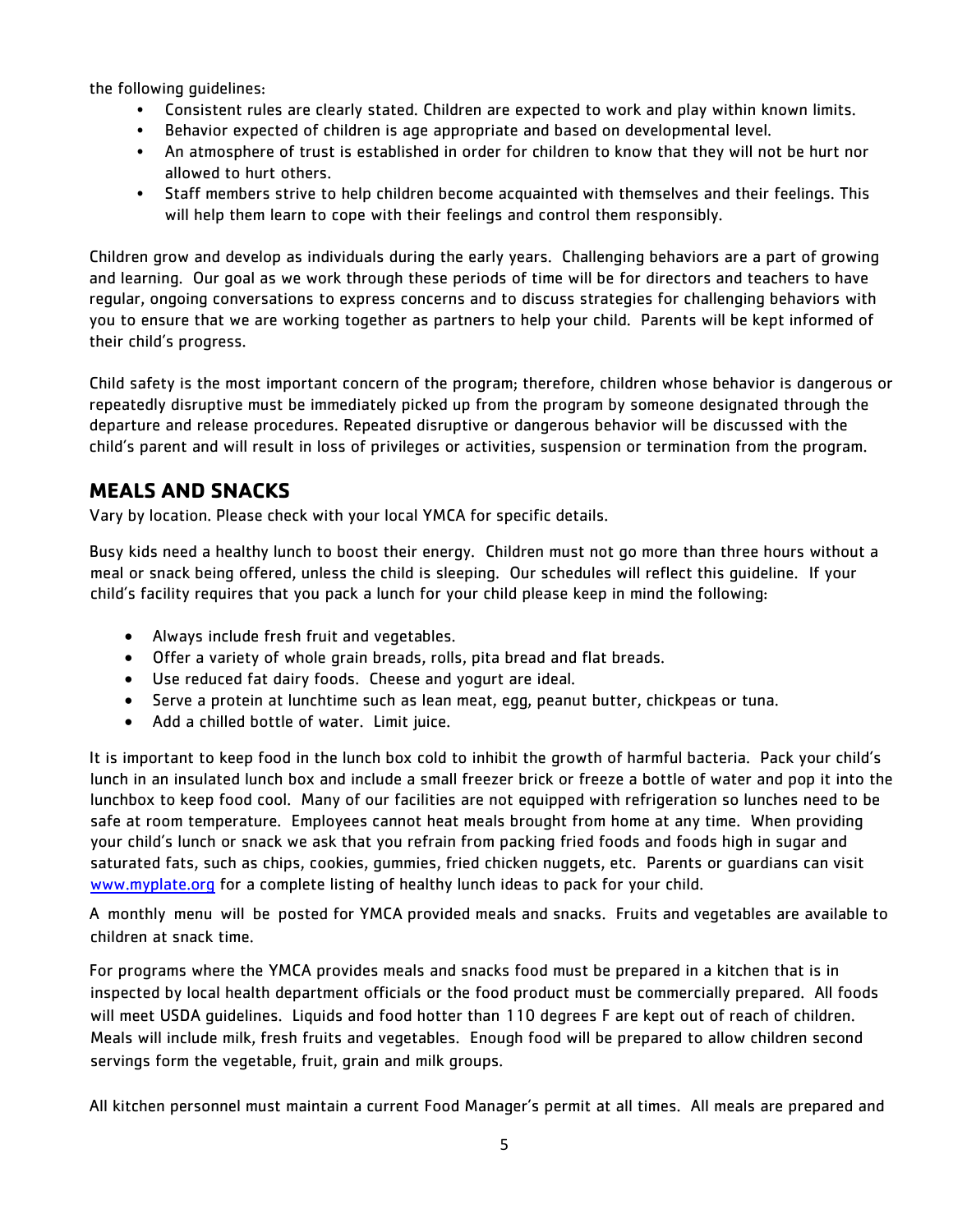the following guidelines:

- Consistent rules are clearly stated. Children are expected to work and play within known limits.
- Behavior expected of children is age appropriate and based on developmental level.
- An atmosphere of trust is established in order for children to know that they will not be hurt nor allowed to hurt others.
- Staff members strive to help children become acquainted with themselves and their feelings. This will help them learn to cope with their feelings and control them responsibly.

Children grow and develop as individuals during the early years. Challenging behaviors are a part of growing and learning. Our goal as we work through these periods of time will be for directors and teachers to have regular, ongoing conversations to express concerns and to discuss strategies for challenging behaviors with you to ensure that we are working together as partners to help your child. Parents will be kept informed of their child's progress.

Child safety is the most important concern of the program; therefore, children whose behavior is dangerous or repeatedly disruptive must be immediately picked up from the program by someone designated through the departure and release procedures. Repeated disruptive or dangerous behavior will be discussed with the child's parent and will result in loss of privileges or activities, suspension or termination from the program.

## **MEALS AND SNACKS**

Vary by location. Please check with your local YMCA for specific details.

Busy kids need a healthy lunch to boost their energy. Children must not go more than three hours without a meal or snack being offered, unless the child is sleeping. Our schedules will reflect this guideline. If your child's facility requires that you pack a lunch for your child please keep in mind the following:

- Always include fresh fruit and vegetables.
- Offer a variety of whole grain breads, rolls, pita bread and flat breads.
- Use reduced fat dairy foods. Cheese and yogurt are ideal.
- Serve a protein at lunchtime such as lean meat, egg, peanut butter, chickpeas or tuna.
- Add a chilled bottle of water. Limit juice.

It is important to keep food in the lunch box cold to inhibit the growth of harmful bacteria. Pack your child's lunch in an insulated lunch box and include a small freezer brick or freeze a bottle of water and pop it into the lunchbox to keep food cool. Many of our facilities are not equipped with refrigeration so lunches need to be safe at room temperature. Employees cannot heat meals brought from home at any time. When providing your child's lunch or snack we ask that you refrain from packing fried foods and foods high in sugar and saturated fats, such as chips, cookies, gummies, fried chicken nuggets, etc. Parents or guardians can visit [www.myplate.org](http://www.myplate.org/) for a complete listing of healthy lunch ideas to pack for your child.

A monthly menu will be posted for YMCA provided meals and snacks. Fruits and vegetables are available to children at snack time.

For programs where the YMCA provides meals and snacks food must be prepared in a kitchen that is in inspected by local health department officials or the food product must be commercially prepared. All foods will meet USDA guidelines. Liquids and food hotter than 110 degrees F are kept out of reach of children. Meals will include milk, fresh fruits and vegetables. Enough food will be prepared to allow children second servings form the vegetable, fruit, grain and milk groups.

All kitchen personnel must maintain a current Food Manager's permit at all times. All meals are prepared and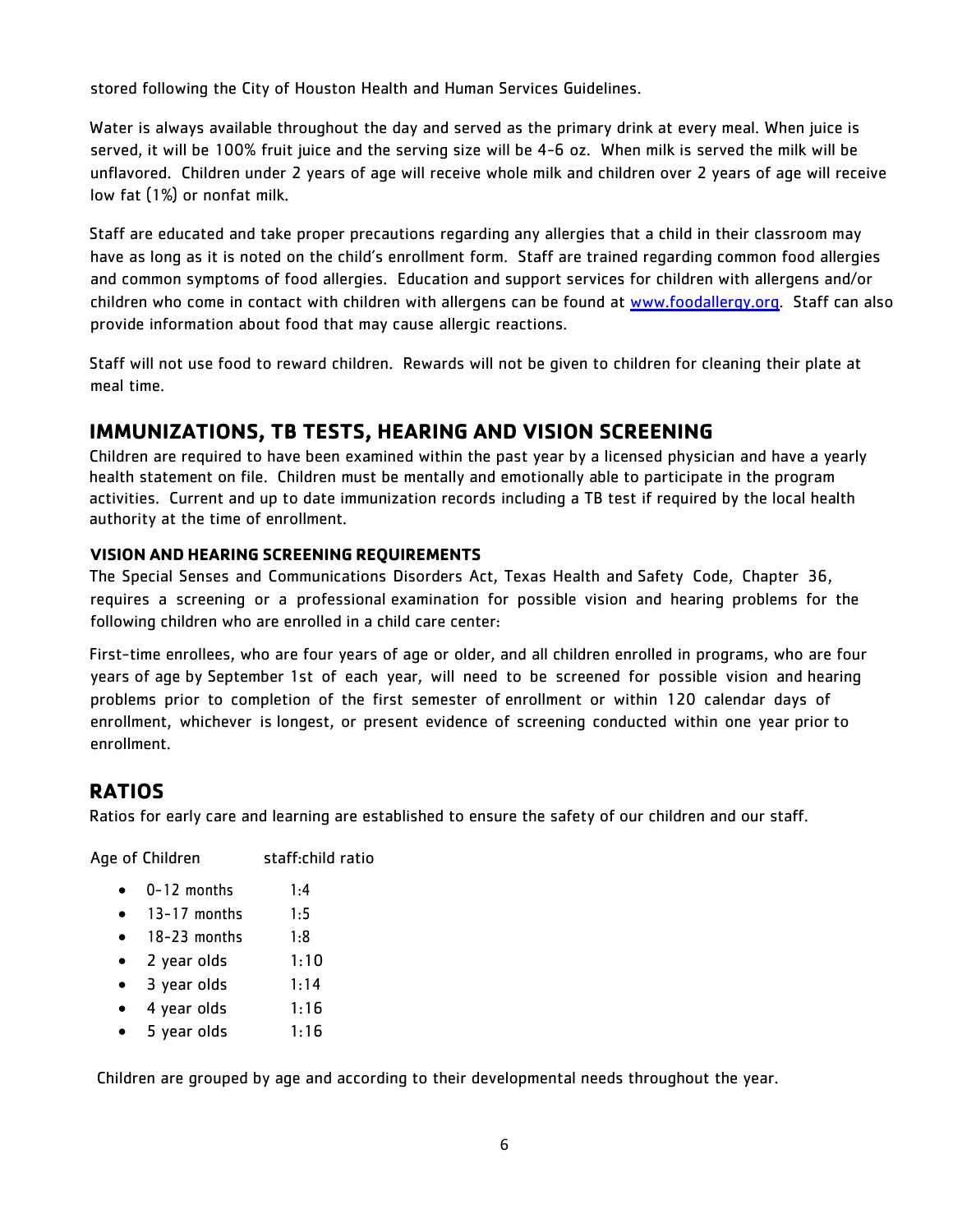stored following the City of Houston Health and Human Services Guidelines.

Water is always available throughout the day and served as the primary drink at every meal. When juice is served, it will be 100% fruit juice and the serving size will be 4-6 oz. When milk is served the milk will be unflavored. Children under 2 years of age will receive whole milk and children over 2 years of age will receive low fat (1%) or nonfat milk.

Staff are educated and take proper precautions regarding any allergies that a child in their classroom may have as long as it is noted on the child's enrollment form. Staff are trained regarding common food allergies and common symptoms of food allergies. Education and support services for children with allergens and/or children who come in contact with children with allergens can be found at [www.foodallergy.org.](http://www.foodallergy.org/) Staff can also provide information about food that may cause allergic reactions.

Staff will not use food to reward children. Rewards will not be given to children for cleaning their plate at meal time.

## **IMMUNIZATIONS, TB TESTS, HEARING AND VISION SCREENING**

Children are required to have been examined within the past year by a licensed physician and have a yearly health statement on file. Children must be mentally and emotionally able to participate in the program activities. Current and up to date immunization records including a TB test if required by the local health authority at the time of enrollment.

#### **VISION AND HEARING SCREENING REQUIREMENTS**

The Special Senses and Communications Disorders Act, Texas Health and Safety Code, Chapter 36, requires a screening or a professional examination for possible vision and hearing problems for the following children who are enrolled in a child care center:

First-time enrollees, who are four years of age or older, and all children enrolled in programs, who are four years of age by September 1st of each year, will need to be screened for possible vision and hearing problems prior to completion of the first semester of enrollment or within 120 calendar days of enrollment, whichever is longest, or present evidence of screening conducted within one year prior to enrollment.

## **RATIOS**

Ratios for early care and learning are established to ensure the safety of our children and our staff.

Age of Children staff:child ratio

- $\bullet$  0-12 months 1:4
- $\bullet$  13-17 months 1:5
- $\bullet$  18-23 months 1:8
- $\bullet$  2 year olds  $1:10$
- 3 year olds 1:14
- 4 year olds 1:16
- 5 year olds 1:16

Children are grouped by age and according to their developmental needs throughout the year.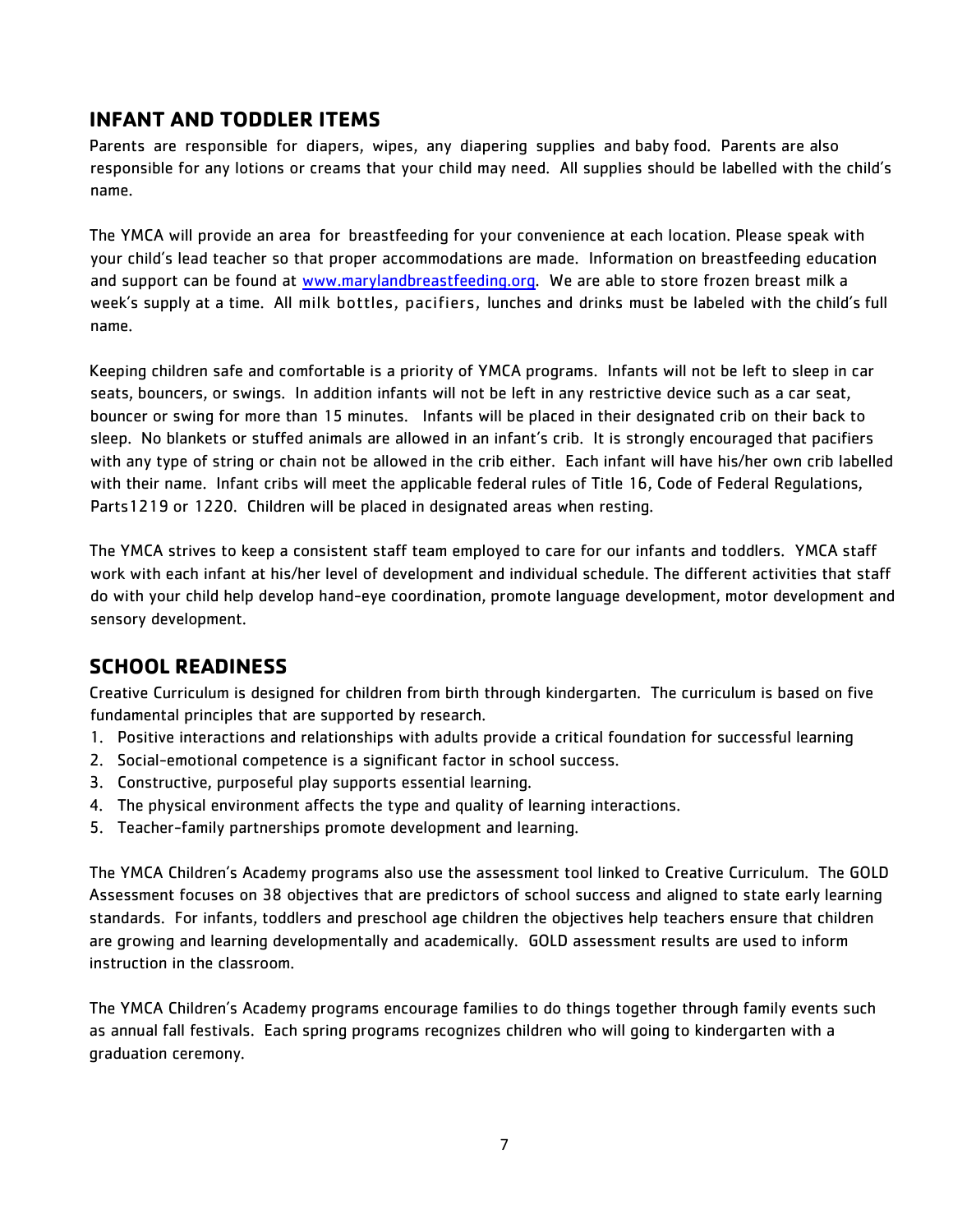## **INFANT AND TODDLER ITEMS**

Parents are responsible for diapers, wipes, any diapering supplies and baby food. Parents are also responsible for any lotions or creams that your child may need. All supplies should be labelled with the child's name.

The YMCA will provide an area for breastfeeding for your convenience at each location. Please speak with your child's lead teacher so that proper accommodations are made. Information on breastfeeding education and support can be found at [www.marylandbreastfeeding.org.](http://www.marylandbreastfeeding.org/) We are able to store frozen breast milk a week's supply at a time. All milk bottles, pacifiers, lunches and drinks must be labeled with the child's full name.

Keeping children safe and comfortable is a priority of YMCA programs. Infants will not be left to sleep in car seats, bouncers, or swings. In addition infants will not be left in any restrictive device such as a car seat, bouncer or swing for more than 15 minutes. Infants will be placed in their designated crib on their back to sleep. No blankets or stuffed animals are allowed in an infant's crib. It is strongly encouraged that pacifiers with any type of string or chain not be allowed in the crib either. Each infant will have his/her own crib labelled with their name. Infant cribs will meet the applicable federal rules of Title 16, Code of Federal Regulations, Parts1219 or 1220. Children will be placed in designated areas when resting.

The YMCA strives to keep a consistent staff team employed to care for our infants and toddlers. YMCA staff work with each infant at his/her level of development and individual schedule. The different activities that staff do with your child help develop hand-eye coordination, promote language development, motor development and sensory development.

## **SCHOOL READINESS**

Creative Curriculum is designed for children from birth through kindergarten. The curriculum is based on five fundamental principles that are supported by research.

- 1. Positive interactions and relationships with adults provide a critical foundation for successful learning
- 2. Social-emotional competence is a significant factor in school success.
- 3. Constructive, purposeful play supports essential learning.
- 4. The physical environment affects the type and quality of learning interactions.
- 5. Teacher-family partnerships promote development and learning.

The YMCA Children's Academy programs also use the assessment tool linked to Creative Curriculum. The GOLD Assessment focuses on 38 objectives that are predictors of school success and aligned to state early learning standards. For infants, toddlers and preschool age children the objectives help teachers ensure that children are growing and learning developmentally and academically. GOLD assessment results are used to inform instruction in the classroom.

The YMCA Children's Academy programs encourage families to do things together through family events such as annual fall festivals. Each spring programs recognizes children who will going to kindergarten with a graduation ceremony.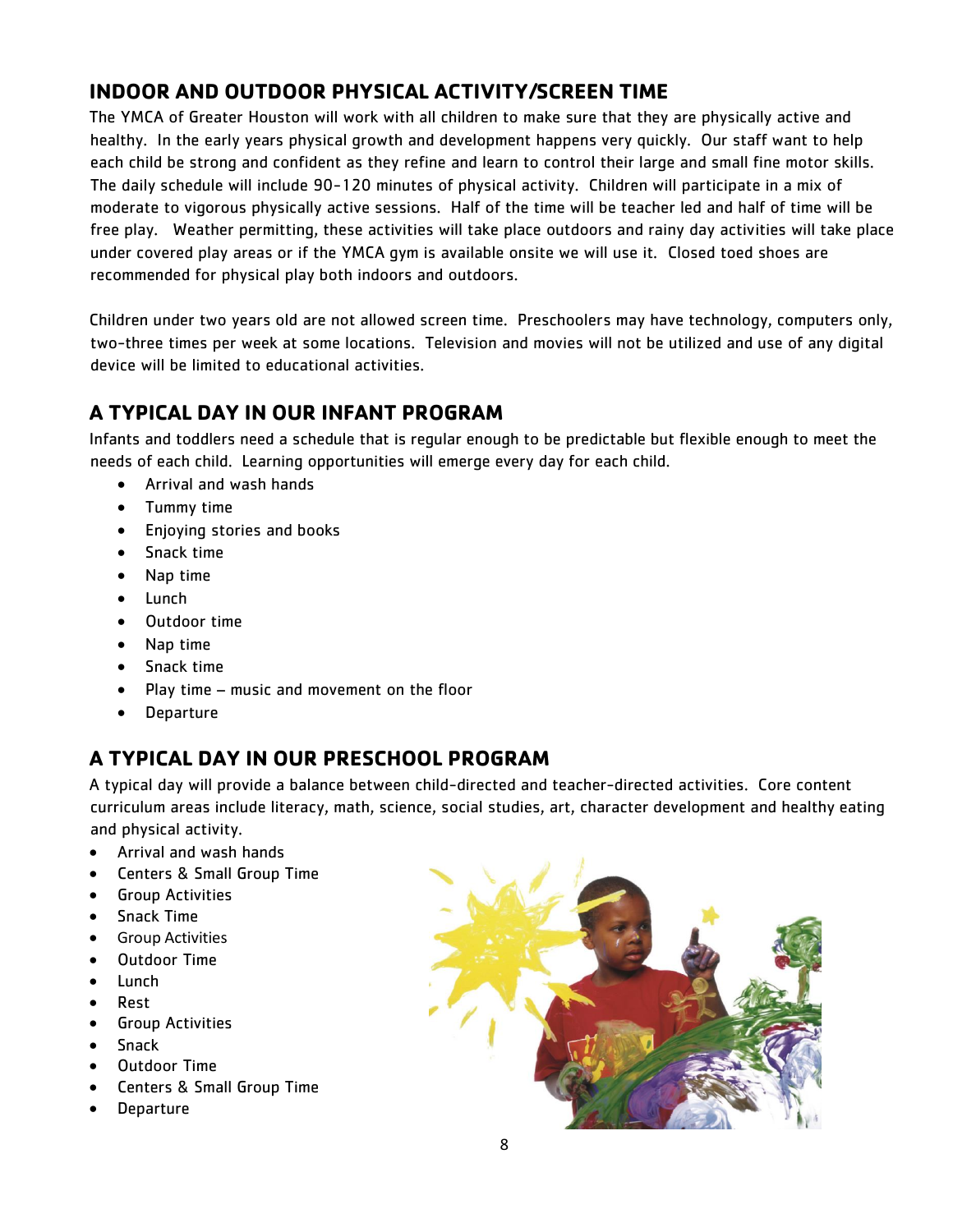## **INDOOR AND OUTDOOR PHYSICAL ACTIVITY/SCREEN TIME**

The YMCA of Greater Houston will work with all children to make sure that they are physically active and healthy. In the early years physical growth and development happens very quickly. Our staff want to help each child be strong and confident as they refine and learn to control their large and small fine motor skills. The daily schedule will include 90-120 minutes of physical activity. Children will participate in a mix of moderate to vigorous physically active sessions. Half of the time will be teacher led and half of time will be free play. Weather permitting, these activities will take place outdoors and rainy day activities will take place under covered play areas or if the YMCA gym is available onsite we will use it. Closed toed shoes are recommended for physical play both indoors and outdoors.

Children under two years old are not allowed screen time. Preschoolers may have technology, computers only, two-three times per week at some locations. Television and movies will not be utilized and use of any digital device will be limited to educational activities.

## **A TYPICAL DAY IN OUR INFANT PROGRAM**

Infants and toddlers need a schedule that is regular enough to be predictable but flexible enough to meet the needs of each child. Learning opportunities will emerge every day for each child.

- Arrival and wash hands
- Tummy time
- Enjoying stories and books
- Snack time
- Nap time
- Lunch
- Outdoor time
- Nap time
- Snack time
- $\bullet$  Play time music and movement on the floor
- Departure

## **A TYPICAL DAY IN OUR PRESCHOOL PROGRAM**

A typical day will provide a balance between child-directed and teacher-directed activities. Core content curriculum areas include literacy, math, science, social studies, art, character development and healthy eating and physical activity.

- Arrival and wash hands
- Centers & Small Group Time
- **•** Group Activities
- Snack Time
- **•** Group Activities
- Outdoor Time
- Lunch
- Rest
- Group Activities
- Snack
- Outdoor Time
- Centers & Small Group Time
- Departure

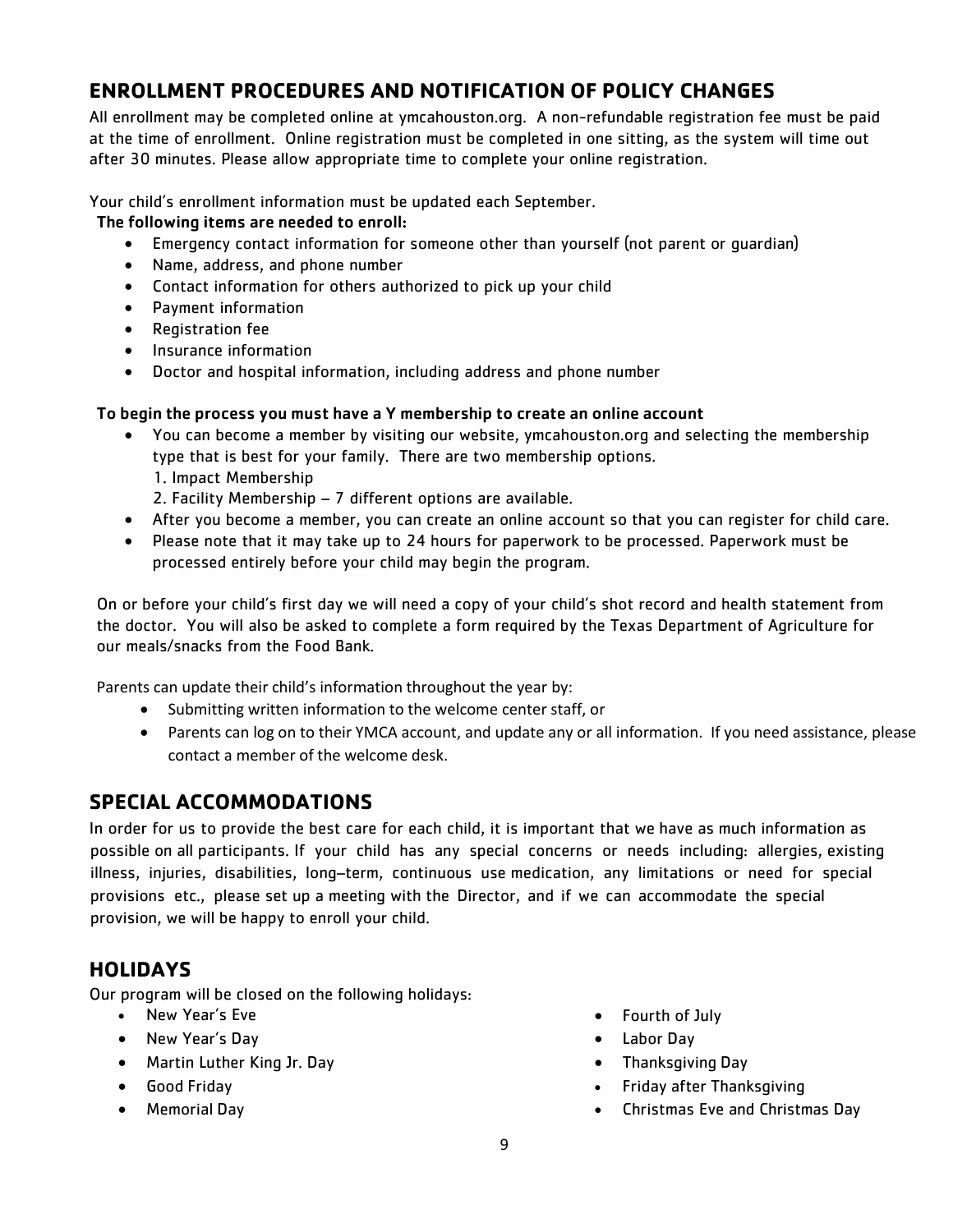## **ENROLLMENT PROCEDURES AND NOTIFICATION OF POLICY CHANGES**

All enrollment may be completed online at ymcahouston.org. A non-refundable registration fee must be paid at the time of enrollment. Online registration must be completed in one sitting, as the system will time out after 30 minutes. Please allow appropriate time to complete your online registration.

Your child's enrollment information must be updated each September.

#### The following items are needed to enroll:

- Emergency contact information for someone other than yourself (not parent or guardian)
- Name, address, and phone number
- Contact information for others authorized to pick up your child
- Payment information
- Registration fee
- Insurance information
- Doctor and hospital information, including address and phone number

#### To begin the process you must have a Y membership to create an online account

- You can become a member by visiting our website, ymcahouston.org and selecting the membership type that is best for your family. There are two membership options. 1. Impact Membership
	- 2. Facility Membership 7 different options are available.
- After you become a member, you can create an online account so that you can register for child care.
- Please note that it may take up to 24 hours for paperwork to be processed. Paperwork must be processed entirely before your child may begin the program.

On or before your child's first day we will need a copy of your child's shot record and health statement from the doctor. You will also be asked to complete a form required by the Texas Department of Agriculture for our meals/snacks from the Food Bank.

Parents can update their child's information throughout the year by:

- Submitting written information to the welcome center staff, or
- Parents can log on to their YMCA account, and update any or all information. If you need assistance, please contact a member of the welcome desk.

## **SPECIAL ACCOMMODATIONS**

In order for us to provide the best care for each child, it is important that we have as much information as possible on all participants. If your child has any special concerns or needs including: allergies, existing illness, injuries, disabilities, long–term, continuous use medication, any limitations or need for special provisions etc., please set up a meeting with the Director, and if we can accommodate the special provision, we will be happy to enroll your child.

## **HOLIDAYS**

Our program will be closed on the following holidays:

- New Year's Eve
- New Year's Day
- Martin Luther King Jr. Day
- Good Friday
- Memorial Day
- Fourth of July
- Labor Day
- Thanksgiving Day
- Friday after Thanksgiving
- Christmas Eve and Christmas Day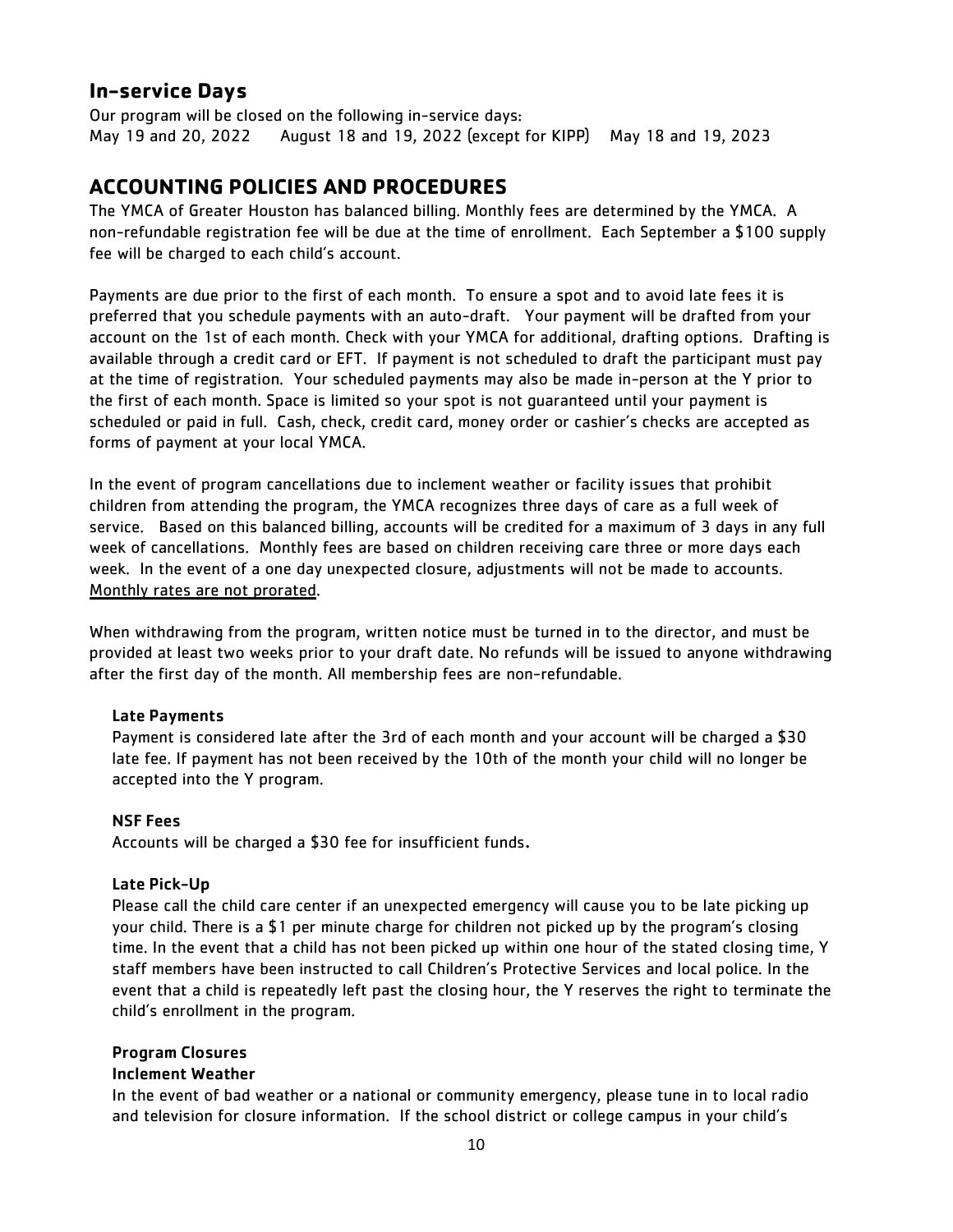## **In-service Days**

Our program will be closed on the following in-service days: May 19 and 20, 2022 August 18 and 19, 2022 (except for KIPP) May 18 and 19, 2023

## **ACCOUNTING POLICIES AND PROCEDURES**

The YMCA of Greater Houston has balanced billing. Monthly fees are determined by the YMCA. A non-refundable registration fee will be due at the time of enrollment. Each September a \$100 supply fee will be charged to each child's account.

Payments are due prior to the first of each month. To ensure a spot and to avoid late fees it is preferred that you schedule payments with an auto-draft. Your payment will be drafted from your account on the 1st of each month. Check with your YMCA for additional, drafting options. Drafting is available through a credit card or EFT. If payment is not scheduled to draft the participant must pay at the time of registration. Your scheduled payments may also be made in-person at the Y prior to the first of each month. Space is limited so your spot is not guaranteed until your payment is scheduled or paid in full. Cash, check, credit card, money order or cashier's checks are accepted as forms of payment at your local YMCA.

In the event of program cancellations due to inclement weather or facility issues that prohibit children from attending the program, the YMCA recognizes three days of care as a full week of service. Based on this balanced billing, accounts will be credited for a maximum of 3 days in any full week of cancellations. Monthly fees are based on children receiving care three or more days each week. In the event of a one day unexpected closure, adjustments will not be made to accounts. Monthly rates are not prorated.

When withdrawing from the program, written notice must be turned in to the director, and must be provided at least two weeks prior to your draft date. No refunds will be issued to anyone withdrawing after the first day of the month. All membership fees are non-refundable.

#### Late Payments

Payment is considered late after the 3rd of each month and your account will be charged a \$30 late fee. If payment has not been received by the 10th of the month your child will no longer be accepted into the Y program.

#### NSF Fees

Accounts will be charged a \$30 fee for insufficient funds.

#### Late Pick-Up

Please call the child care center if an unexpected emergency will cause you to be late picking up your child. There is a \$1 per minute charge for children not picked up by the program's closing time. In the event that a child has not been picked up within one hour of the stated closing time, Y staff members have been instructed to call Children's Protective Services and local police. In the event that a child is repeatedly left past the closing hour, the Y reserves the right to terminate the child's enrollment in the program.

#### Program Closures

#### Inclement Weather

In the event of bad weather or a national or community emergency, please tune in to local radio and television for closure information. If the school district or college campus in your child's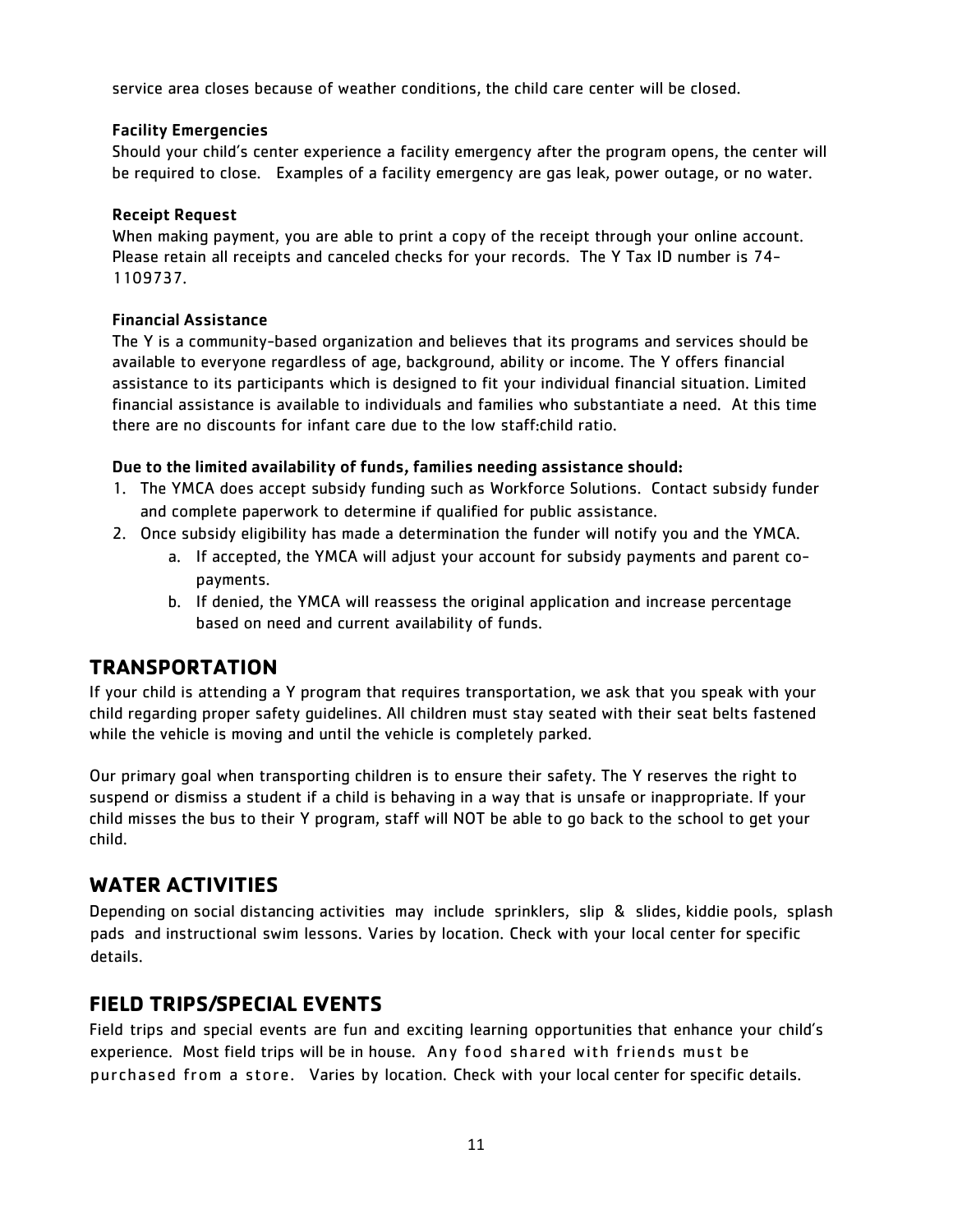service area closes because of weather conditions, the child care center will be closed.

#### Facility Emergencies

Should your child's center experience a facility emergency after the program opens, the center will be required to close. Examples of a facility emergency are gas leak, power outage, or no water.

#### Receipt Request

When making payment, you are able to print a copy of the receipt through your online account. Please retain all receipts and canceled checks for your records. The Y Tax ID number is 74- 1109737.

#### Financial Assistance

The Y is a community-based organization and believes that its programs and services should be available to everyone regardless of age, background, ability or income. The Y offers financial assistance to its participants which is designed to fit your individual financial situation. Limited financial assistance is available to individuals and families who substantiate a need. At this time there are no discounts for infant care due to the low staff:child ratio.

#### Due to the limited availability of funds, families needing assistance should:

- 1. The YMCA does accept subsidy funding such as Workforce Solutions. Contact subsidy funder and complete paperwork to determine if qualified for public assistance.
- 2. Once subsidy eligibility has made a determination the funder will notify you and the YMCA.
	- a. If accepted, the YMCA will adjust your account for subsidy payments and parent copayments.
	- b. If denied, the YMCA will reassess the original application and increase percentage based on need and current availability of funds.

## **TRANSPORTATION**

If your child is attending a Y program that requires transportation, we ask that you speak with your child regarding proper safety guidelines. All children must stay seated with their seat belts fastened while the vehicle is moving and until the vehicle is completely parked.

Our primary goal when transporting children is to ensure their safety. The Y reserves the right to suspend or dismiss a student if a child is behaving in a way that is unsafe or inappropriate. If your child misses the bus to their Y program, staff will NOT be able to go back to the school to get your child.

## **WATER ACTIVITIES**

Depending on social distancing activities may include sprinklers, slip & slides, kiddie pools, splash pads and instructional swim lessons. Varies by location. Check with your local center for specific details.

## **FIELD TRIPS/SPECIAL EVENTS**

Field trips and special events are fun and exciting learning opportunities that enhance your child's experience. Most field trips will be in house. Any food shared with friends must be purchased from a store. Varies by location. Check with your local center for specific details.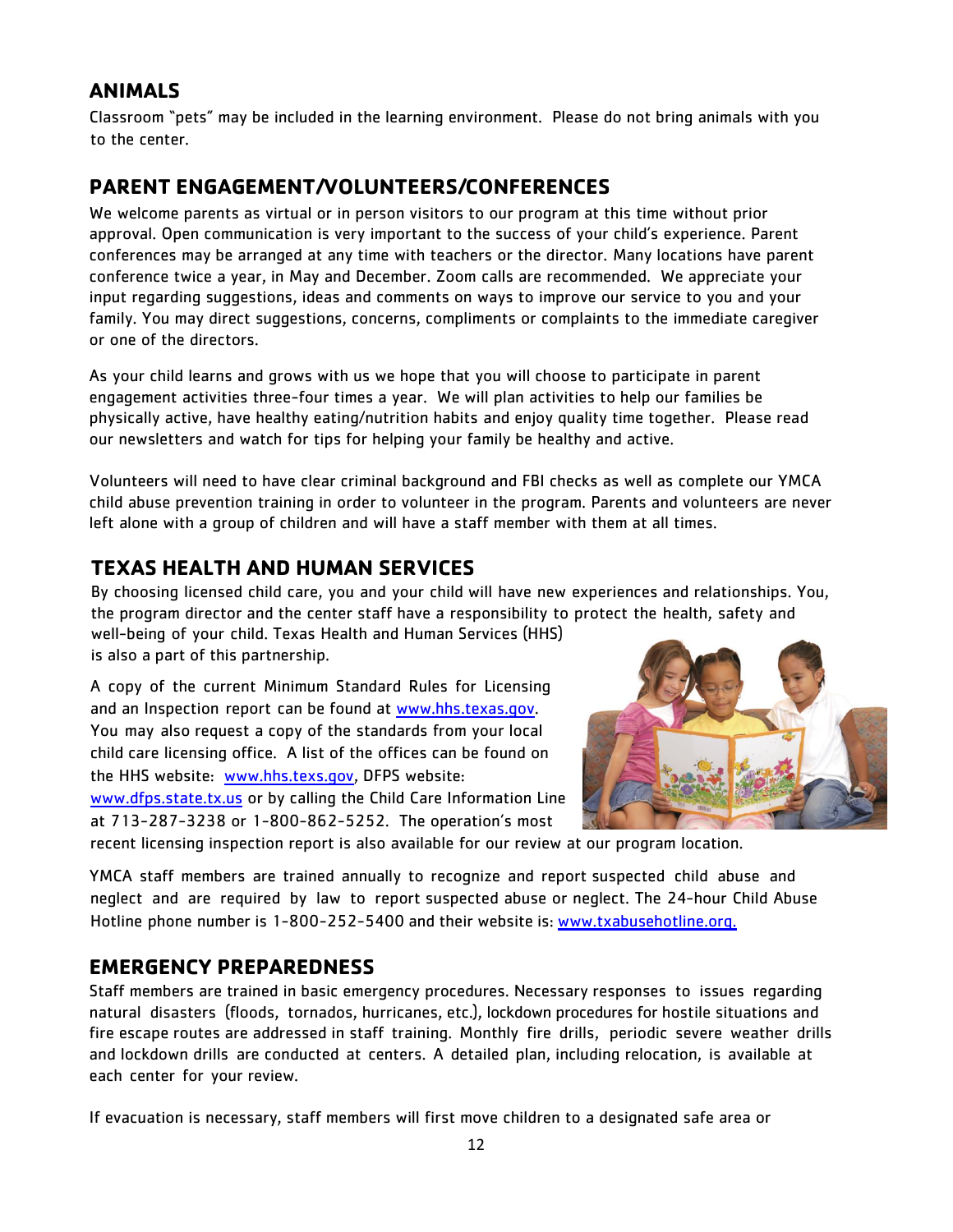## **ANIMALS**

Classroom "pets" may be included in the learning environment. Please do not bring animals with you to the center.

## **PARENT ENGAGEMENT/VOLUNTEERS/CONFERENCES**

We welcome parents as virtual or in person visitors to our program at this time without prior approval. Open communication is very important to the success of your child's experience. Parent conferences may be arranged at any time with teachers or the director. Many locations have parent conference twice a year, in May and December. Zoom calls are recommended. We appreciate your input regarding suggestions, ideas and comments on ways to improve our service to you and your family. You may direct suggestions, concerns, compliments or complaints to the immediate caregiver or one of the directors.

As your child learns and grows with us we hope that you will choose to participate in parent engagement activities three-four times a year. We will plan activities to help our families be physically active, have healthy eating/nutrition habits and enjoy quality time together. Please read our newsletters and watch for tips for helping your family be healthy and active.

Volunteers will need to have clear criminal background and FBI checks as well as complete our YMCA child abuse prevention training in order to volunteer in the program. Parents and volunteers are never left alone with a group of children and will have a staff member with them at all times.

## **TEXAS HEALTH AND HUMAN SERVICES**

By choosing licensed child care, you and your child will have new experiences and relationships. You, the program director and the center staff have a responsibility to protect the health, safety and well-being of your child. Texas Health and Human Services (HHS) is also a part of this partnership.

A copy of the current Minimum Standard Rules for Licensing and an Inspection report can be found at [www.hhs.texas.gov.](http://www.hhs.texas.gov/) You may also request a copy of the standards from your local child care licensing office. A list of the offices can be found on the HHS website: [www.hhs.texs.gov,](http://www.hhs.texs.gov/) DFPS website: [www.dfps.state.tx.us](http://www.dfps.state.tx.us/) or by calling the Child Care Information Line at 713-287-3238 or 1-800-862-5252. The operation's most



recent licensing inspection report is also available for our review at our program location.

YMCA staff members are trained annually to recognize and report suspected child abuse and neglect and are required by law to report suspected abuse or neglect. The 24-hour Child Abuse Hotline phone number is 1-800-252-5400 and their website is: [www.txabusehotline.org.](http://www.txabusehotline.org./)

## **EMERGENCY PREPAREDNESS**

Staff members are trained in basic emergency procedures. Necessary responses to issues regarding natural disasters (floods, tornados, hurricanes, etc.), lockdown procedures for hostile situations and fire escape routes are addressed in staff training. Monthly fire drills, periodic severe weather drills and lockdown drills are conducted at centers. A detailed plan, including relocation, is available at each center for your review.

If evacuation is necessary, staff members will first move children to a designated safe area or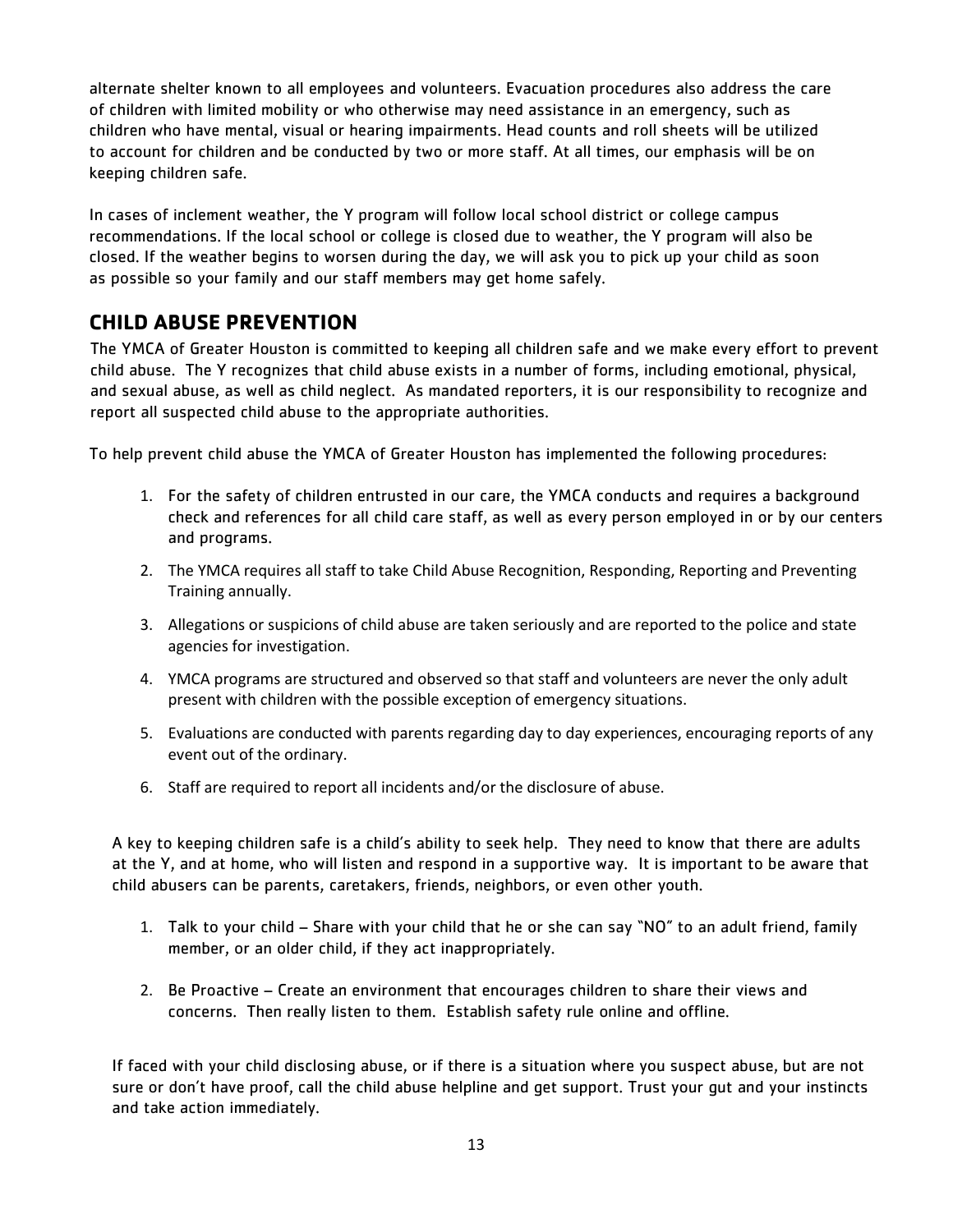alternate shelter known to all employees and volunteers. Evacuation procedures also address the care of children with limited mobility or who otherwise may need assistance in an emergency, such as children who have mental, visual or hearing impairments. Head counts and roll sheets will be utilized to account for children and be conducted by two or more staff. At all times, our emphasis will be on keeping children safe.

In cases of inclement weather, the Y program will follow local school district or college campus recommendations. If the local school or college is closed due to weather, the Y program will also be closed. If the weather begins to worsen during the day, we will ask you to pick up your child as soon as possible so your family and our staff members may get home safely.

## **CHILD ABUSE PREVENTION**

The YMCA of Greater Houston is committed to keeping all children safe and we make every effort to prevent child abuse. The Y recognizes that child abuse exists in a number of forms, including emotional, physical, and sexual abuse, as well as child neglect. As mandated reporters, it is our responsibility to recognize and report all suspected child abuse to the appropriate authorities.

To help prevent child abuse the YMCA of Greater Houston has implemented the following procedures:

- 1. For the safety of children entrusted in our care, the YMCA conducts and requires a background check and references for all child care staff, as well as every person employed in or by our centers and programs.
- 2. The YMCA requires all staff to take Child Abuse Recognition, Responding, Reporting and Preventing Training annually.
- 3. Allegations or suspicions of child abuse are taken seriously and are reported to the police and state agencies for investigation.
- 4. YMCA programs are structured and observed so that staff and volunteers are never the only adult present with children with the possible exception of emergency situations.
- 5. Evaluations are conducted with parents regarding day to day experiences, encouraging reports of any event out of the ordinary.
- 6. Staff are required to report all incidents and/or the disclosure of abuse.

A key to keeping children safe is a child's ability to seek help. They need to know that there are adults at the Y, and at home, who will listen and respond in a supportive way. It is important to be aware that child abusers can be parents, caretakers, friends, neighbors, or even other youth.

- 1. Talk to your child Share with your child that he or she can say "NO" to an adult friend, family member, or an older child, if they act inappropriately.
- 2. Be Proactive Create an environment that encourages children to share their views and concerns. Then really listen to them. Establish safety rule online and offline.

If faced with your child disclosing abuse, or if there is a situation where you suspect abuse, but are not sure or don't have proof, call the child abuse helpline and get support. Trust your gut and your instincts and take action immediately.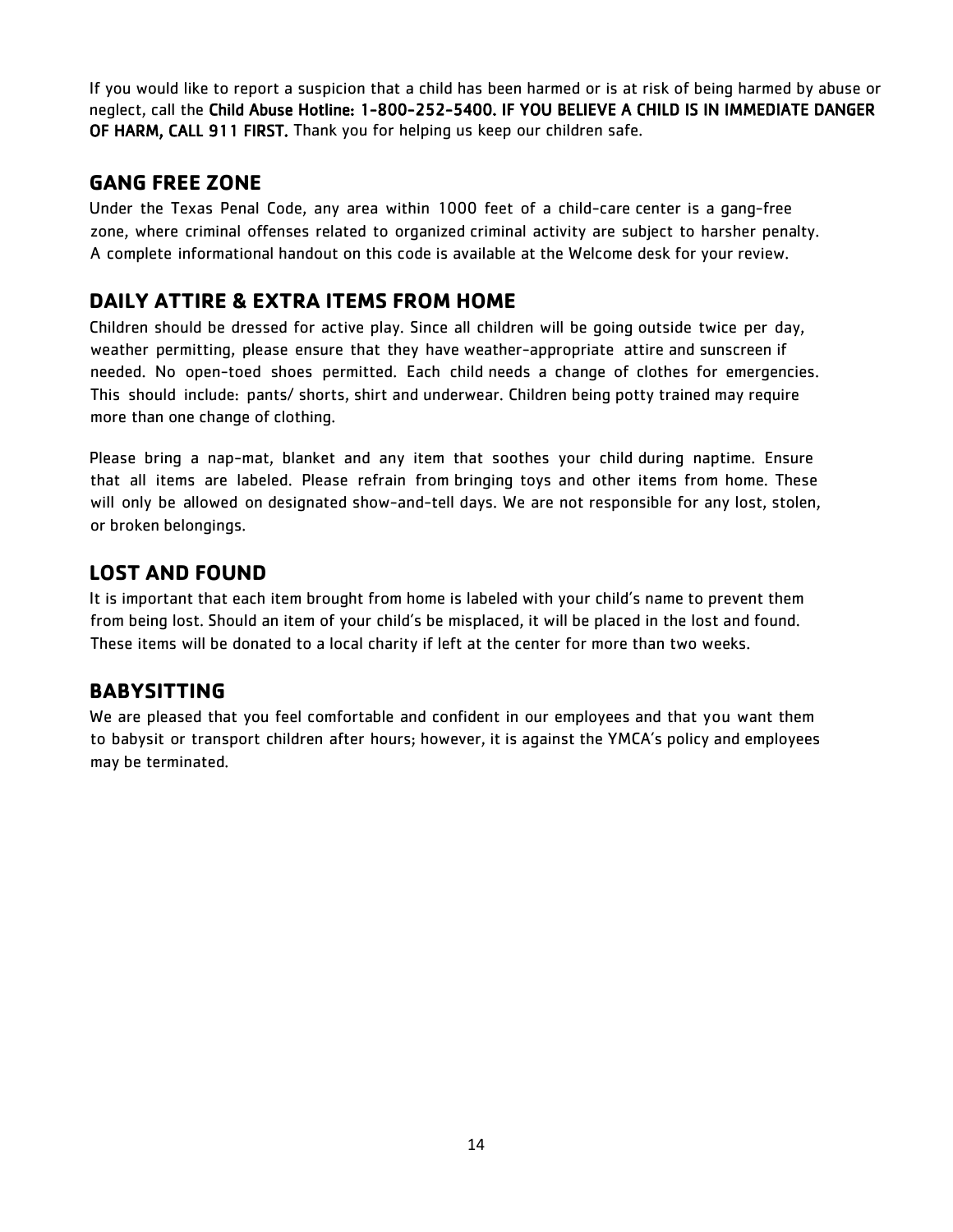If you would like to report a suspicion that a child has been harmed or is at risk of being harmed by abuse or neglect, call the Child Abuse Hotline: 1-800-252-5400. IF YOU BELIEVE A CHILD IS IN IMMEDIATE DANGER OF HARM, CALL 911 FIRST. Thank you for helping us keep our children safe.

## **GANG FREE ZONE**

Under the Texas Penal Code, any area within 1000 feet of a child-care center is a gang-free zone, where criminal offenses related to organized criminal activity are subject to harsher penalty. A complete informational handout on this code is available at the Welcome desk for your review.

## **DAILY ATTIRE & EXTRA ITEMS FROM HOME**

Children should be dressed for active play. Since all children will be going outside twice per day, weather permitting, please ensure that they have weather-appropriate attire and sunscreen if needed. No open-toed shoes permitted. Each child needs a change of clothes for emergencies. This should include: pants/ shorts, shirt and underwear. Children being potty trained may require more than one change of clothing.

Please bring a nap-mat, blanket and any item that soothes your child during naptime. Ensure that all items are labeled. Please refrain from bringing toys and other items from home. These will only be allowed on designated show-and-tell days. We are not responsible for any lost, stolen, or broken belongings.

## **LOST AND FOUND**

It is important that each item brought from home is labeled with your child's name to prevent them from being lost. Should an item of your child's be misplaced, it will be placed in the lost and found. These items will be donated to a local charity if left at the center for more than two weeks.

## **BABYSITTING**

We are pleased that you feel comfortable and confident in our employees and that you want them to babysit or transport children after hours; however, it is against the YMCA's policy and employees may be terminated.